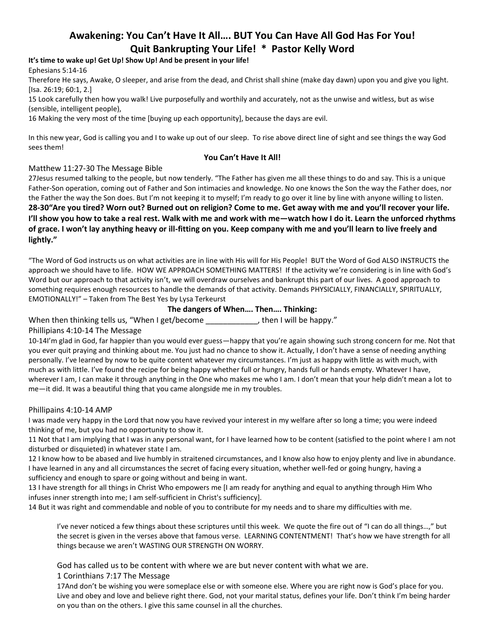# **Awakening: You Can't Have It All…. BUT You Can Have All God Has For You! Quit Bankrupting Your Life! \* Pastor Kelly Word**

# **It's time to wake up! Get Up! Show Up! And be present in your life!**

Ephesians 5:14-16

Therefore He says, Awake, O sleeper, and arise from the dead, and Christ shall shine (make day dawn) upon you and give you light. [Isa. 26:19; 60:1, 2.]

15 Look carefully then how you walk! Live purposefully and worthily and accurately, not as the unwise and witless, but as wise (sensible, intelligent people),

16 Making the very most of the time [buying up each opportunity], because the days are evil.

In this new year, God is calling you and I to wake up out of our sleep. To rise above direct line of sight and see things the way God sees them!

#### **You Can't Have It All!**

#### Matthew 11:27-30 The Message Bible

27Jesus resumed talking to the people, but now tenderly. "The Father has given me all these things to do and say. This is a unique Father-Son operation, coming out of Father and Son intimacies and knowledge. No one knows the Son the way the Father does, nor the Father the way the Son does. But I'm not keeping it to myself; I'm ready to go over it line by line with anyone willing to listen. **28-30"Are you tired? Worn out? Burned out on religion? Come to me. Get away with me and you'll recover your life.** 

**I'll show you how to take a real rest. Walk with me and work with me—watch how I do it. Learn the unforced rhythms of grace. I won't lay anything heavy or ill-fitting on you. Keep company with me and you'll learn to live freely and lightly."**

"The Word of God instructs us on what activities are in line with His will for His People! BUT the Word of God ALSO INSTRUCTS the approach we should have to life. HOW WE APPROACH SOMETHING MATTERS! If the activity we're considering is in line with God's Word but our approach to that activity isn't, we will overdraw ourselves and bankrupt this part of our lives. A good approach to something requires enough resources to handle the demands of that activity. Demands PHYSICIALLY, FINANCIALLY, SPIRITUALLY, EMOTIONALLY!" – Taken from The Best Yes by Lysa Terkeurst

# **The dangers of When…. Then…. Thinking:**

When then thinking tells us, "When I get/become \_\_\_\_\_\_\_\_\_\_\_\_, then I will be happy."

# Phillipians 4:10-14 The Message

10-14I'm glad in God, far happier than you would ever guess—happy that you're again showing such strong concern for me. Not that you ever quit praying and thinking about me. You just had no chance to show it. Actually, I don't have a sense of needing anything personally. I've learned by now to be quite content whatever my circumstances. I'm just as happy with little as with much, with much as with little. I've found the recipe for being happy whether full or hungry, hands full or hands empty. Whatever I have, wherever I am, I can make it through anything in the One who makes me who I am. I don't mean that your help didn't mean a lot to me—it did. It was a beautiful thing that you came alongside me in my troubles.

#### Phillipains 4:10-14 AMP

I was made very happy in the Lord that now you have revived your interest in my welfare after so long a time; you were indeed thinking of me, but you had no opportunity to show it.

11 Not that I am implying that I was in any personal want, for I have learned how to be content (satisfied to the point where I am not disturbed or disquieted) in whatever state I am.

12 I know how to be abased and live humbly in straitened circumstances, and I know also how to enjoy plenty and live in abundance. I have learned in any and all circumstances the secret of facing every situation, whether well-fed or going hungry, having a sufficiency and enough to spare or going without and being in want.

13 I have strength for all things in Christ Who empowers me [I am ready for anything and equal to anything through Him Who infuses inner strength into me; I am self-sufficient in Christ's sufficiency].

14 But it was right and commendable and noble of you to contribute for my needs and to share my difficulties with me.

I've never noticed a few things about these scriptures until this week. We quote the fire out of "I can do all things…," but the secret is given in the verses above that famous verse. LEARNING CONTENTMENT! That's how we have strength for all things because we aren't WASTING OUR STRENGTH ON WORRY.

God has called us to be content with where we are but never content with what we are.

#### 1 Corinthians 7:17 The Message

17And don't be wishing you were someplace else or with someone else. Where you are right now is God's place for you. Live and obey and love and believe right there. God, not your marital status, defines your life. Don't think I'm being harder on you than on the others. I give this same counsel in all the churches.